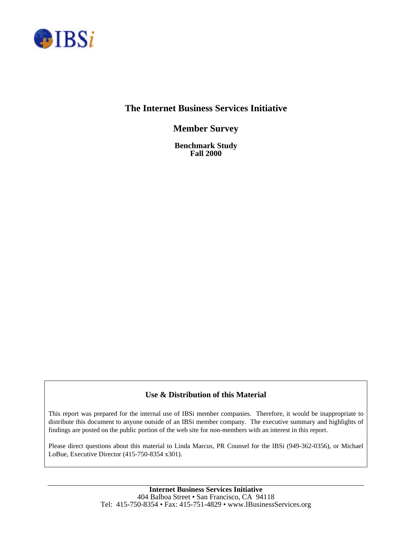

# **The Internet Business Services Initiative**

**Member Survey**

**Benchmark Study Fall 2000**

# **Use & Distribution of this Material**

This report was prepared for the internal use of IBSi member companies. Therefore, it would be inappropriate to distribute this document to anyone outside of an IBSi member company. The executive summary and highlights of findings are posted on the public portion of the web site for non-members with an interest in this report.

Please direct questions about this material to Linda Marcus, PR Counsel for the IBSi (949-362-0356), or Michael LoBue, Executive Director (415-750-8354 x301).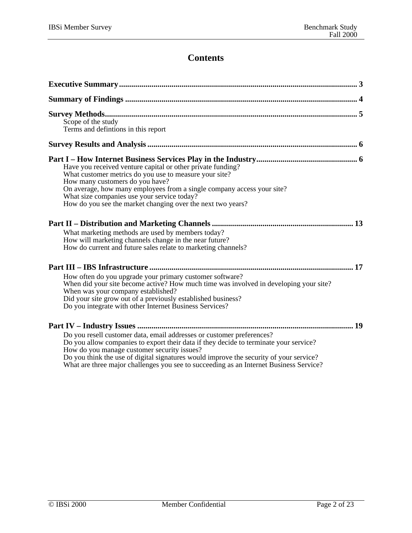# **Contents**

| Scope of the study<br>Terms and defintions in this report                                                                                                                                                                                                                                                                                                                                         |
|---------------------------------------------------------------------------------------------------------------------------------------------------------------------------------------------------------------------------------------------------------------------------------------------------------------------------------------------------------------------------------------------------|
|                                                                                                                                                                                                                                                                                                                                                                                                   |
| Have you received venture capital or other private funding?<br>What customer metrics do you use to measure your site?<br>How many customers do you have?<br>On average, how many employees from a single company access your site?<br>What size companies use your service today?<br>How do you see the market changing over the next two years?                                                  |
|                                                                                                                                                                                                                                                                                                                                                                                                   |
| What marketing methods are used by members today?<br>How will marketing channels change in the near future?<br>How do current and future sales relate to marketing channels?                                                                                                                                                                                                                      |
|                                                                                                                                                                                                                                                                                                                                                                                                   |
| How often do you upgrade your primary customer software?<br>When did your site become active? How much time was involved in developing your site?<br>When was your company established?<br>Did your site grow out of a previously established business?<br>Do you integrate with other Internet Business Services?                                                                                |
|                                                                                                                                                                                                                                                                                                                                                                                                   |
| Do you resell customer data, email addresses or customer preferences?<br>Do you allow companies to export their data if they decide to terminate your service?<br>How do you manage customer security issues?<br>Do you think the use of digital signatures would improve the security of your service?<br>What are three major challenges you see to succeeding as an Internet Business Service? |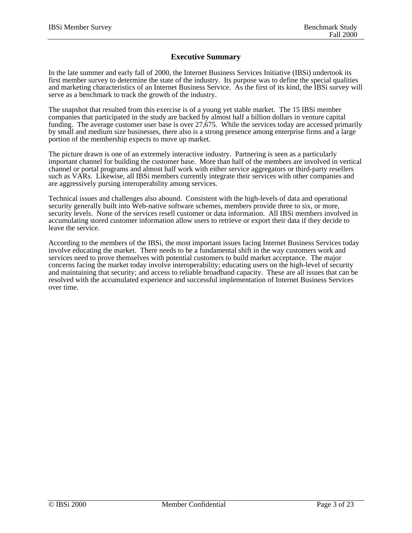## **Executive Summary**

In the late summer and early fall of 2000, the Internet Business Services Initiative (IBSi) undertook its first member survey to determine the state of the industry. Its purpose was to define the special qualities and marketing characteristics of an Internet Business Service. As the first of its kind, the IBSi survey will serve as a benchmark to track the growth of the industry.

The snapshot that resulted from this exercise is of a young yet stable market. The 15 IBSi member companies that participated in the study are backed by almost half a billion dollars in venture capital funding. The average customer user base is over 27,675. While the services today are accessed primarily by small and medium size businesses, there also is a strong presence among enterprise firms and a large portion of the membership expects to move up market.

The picture drawn is one of an extremely interactive industry. Partnering is seen as a particularly important channel for building the customer base. More than half of the members are involved in vertical channel or portal programs and almost half work with either service aggregators or third-party resellers such as VARs. Likewise, all IBSi members currently integrate their services with other companies and are aggressively pursing interoperability among services.

Technical issues and challenges also abound. Consistent with the high-levels of data and operational security generally built into Web-native software schemes, members provide three to six, or more, security levels. None of the services resell customer or data information. All IBSi members involved in accumulating stored customer information allow users to retrieve or export their data if they decide to leave the service.

According to the members of the IBSi, the most important issues facing Internet Business Services today involve educating the market. There needs to be a fundamental shift in the way customers work and services need to prove themselves with potential customers to build market acceptance. The major concerns facing the market today involve interoperability; educating users on the high-level of security and maintaining that security; and access to reliable broadband capacity. These are all issues that can be resolved with the accumulated experience and successful implementation of Internet Business Services over time.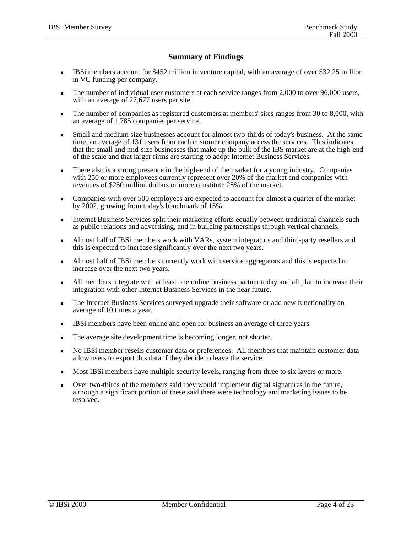# **Summary of Findings**

- <sup>n</sup> IBSi members account for \$452 million in venture capital, with an average of over \$32.25 million in VC funding per company.
- The number of individual user customers at each service ranges from 2,000 to over 96,000 users, with an average of 27,677 users per site.
- n The number of companies as registered customers at members' sites ranges from 30 to 8,000, with an average of 1,785 companies per service.
- Small and medium size businesses account for almost two-thirds of today's business. At the same time, an average of 131 users from each customer company access the services. This indicates that the small and mid-size businesses that make up the bulk of the IBS market are at the high-end of the scale and that larger firms are starting to adopt Internet Business Services.
- <sup>n</sup> There also is a strong presence in the high-end of the market for a young industry. Companies with 250 or more employees currently represent over 20% of the market and companies with revenues of \$250 million dollars or more constitute 28% of the market.
- <sup>n</sup> Companies with over 500 employees are expected to account for almost a quarter of the market by  $2002$ , growing from today's benchmark of 15%.
- <sup>n</sup> Internet Business Services split their marketing efforts equally between traditional channels such as public relations and advertising, and in building partnerships through vertical channels.
- <sup>n</sup> Almost half of IBSi members work with VARs, system integrators and third-party resellers and this is expected to increase significantly over the next two years.
- <sup>n</sup> Almost half of IBSi members currently work with service aggregators and this is expected to increase over the next two years.
- <sup>n</sup> All members integrate with at least one online business partner today and all plan to increase their integration with other Internet Business Services in the near future.
- <sup>n</sup> The Internet Business Services surveyed upgrade their software or add new functionality an average of 10 times a year.
- <sup>n</sup> IBSi members have been online and open for business an average of three years.
- n The average site development time is becoming longer, not shorter.
- <sup>n</sup> No IBSi member resells customer data or preferences. All members that maintain customer data allow users to export this data if they decide to leave the service.
- <sup>n</sup> Most IBSi members have multiple security levels, ranging from three to six layers or more.
- Over two-thirds of the members said they would implement digital signatures in the future, although a significant portion of these said there were technology and marketing issues to be resolved.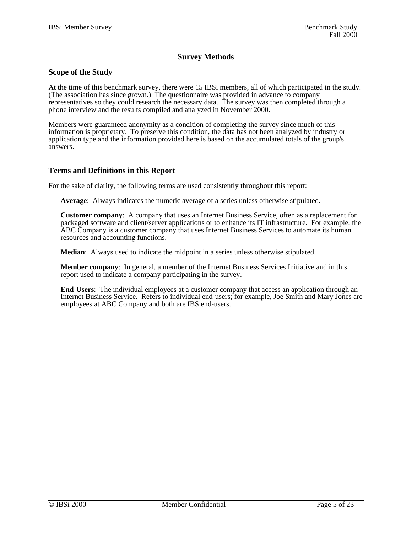# **Survey Methods**

### **Scope of the Study**

At the time of this benchmark survey, there were 15 IBSi members, all of which participated in the study. (The association has since grown.) The questionnaire was provided in advance to company representatives so they could research the necessary data. The survey was then completed through a phone interview and the results compiled and analyzed in November 2000.

Members were guaranteed anonymity as a condition of completing the survey since much of this information is proprietary. To preserve this condition, the data has not been analyzed by industry or application type and the information provided here is based on the accumulated totals of the group's answers.

### **Terms and Definitions in this Report**

For the sake of clarity, the following terms are used consistently throughout this report:

**Average**: Always indicates the numeric average of a series unless otherwise stipulated.

**Customer company**: A company that uses an Internet Business Service, often as a replacement for packaged software and client/server applications or to enhance its IT infrastructure. For example, the ABC Company is a customer company that uses Internet Business Services to automate its human resources and accounting functions.

**Median**: Always used to indicate the midpoint in a series unless otherwise stipulated.

**Member company**: In general, a member of the Internet Business Services Initiative and in this report used to indicate a company participating in the survey.

**End-Users**: The individual employees at a customer company that access an application through an Internet Business Service. Refers to individual end-users; for example, Joe Smith and Mary Jones are employees at ABC Company and both are IBS end-users.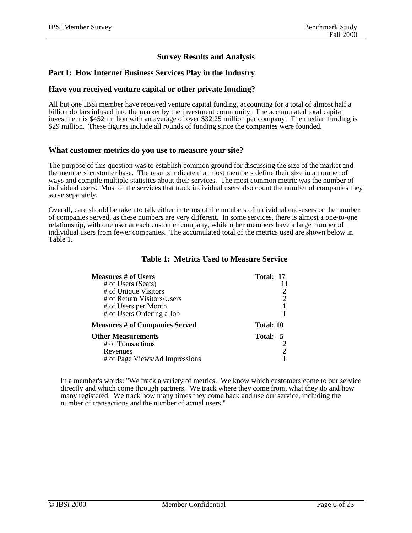# **Survey Results and Analysis**

## **Part I: How Internet Business Services Play in the Industry**

#### **Have you received venture capital or other private funding?**

All but one IBSi member have received venture capital funding, accounting for a total of almost half a billion dollars infused into the market by the investment community. The accumulated total capital investment is \$452 million with an average of over \$32.25 million per company. The median funding is \$29 million. These figures include all rounds of funding since the companies were founded.

#### **What customer metrics do you use to measure your site?**

The purpose of this question was to establish common ground for discussing the size of the market and the members' customer base. The results indicate that most members define their size in a number of ways and compile multiple statistics about their services. The most common metric was the number of individual users. Most of the services that track individual users also count the number of companies they serve separately.

Overall, care should be taken to talk either in terms of the numbers of individual end-users or the number of companies served, as these numbers are very different. In some services, there is almost a one-to-one relationship, with one user at each customer company, while other members have a large number of individual users from fewer companies. The accumulated total of the metrics used are shown below in Table 1.

| <b>Measures # of Users</b>            | Total: 17 |
|---------------------------------------|-----------|
| # of Users (Seats)                    |           |
| # of Unique Visitors                  |           |
| # of Return Visitors/Users            |           |
| # of Users per Month                  |           |
| # of Users Ordering a Job             |           |
| <b>Measures # of Companies Served</b> | Total: 10 |
| <b>Other Measurements</b>             | Total: 5  |
| # of Transactions                     |           |
| Revenues                              |           |
| # of Page Views/Ad Impressions        |           |

### **Table 1: Metrics Used to Measure Service**

In a member's words: "We track a variety of metrics. We know which customers come to our service directly and which come through partners. We track where they come from, what they do and how many registered. We track how many times they come back and use our service, including the number of transactions and the number of actual users."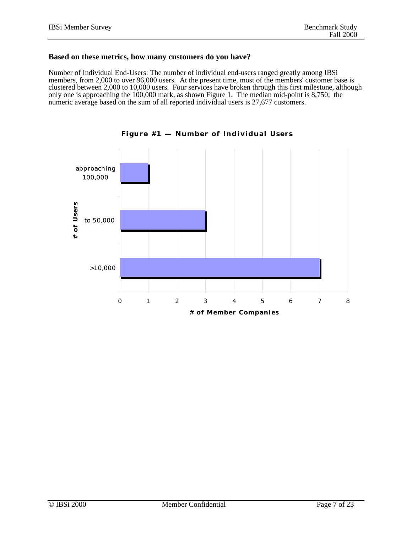## **Based on these metrics, how many customers do you have?**

Number of Individual End-Users: The number of individual end-users ranged greatly among IBSi members, from 2,000 to over 96,000 users. At the present time, most of the members' customer base is clustered between 2,000 to 10,000 users. Four services have broken through this first milestone, although only one is approaching the 100,000 mark, as shown Figure 1. The median mid-point is 8,750; the numeric average based on the sum of all reported individual users is 27,677 customers.



**Figure #1 — Number of Individual Users**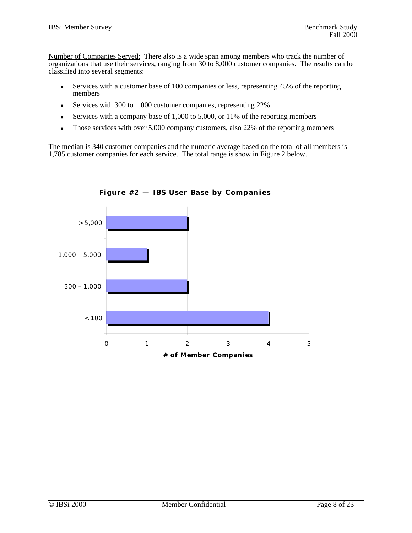Number of Companies Served: There also is a wide span among members who track the number of organizations that use their services, ranging from 30 to 8,000 customer companies. The results can be classified into several segments:

- Services with a customer base of 100 companies or less, representing  $45\%$  of the reporting members
- <sup>n</sup> Services with 300 to 1,000 customer companies, representing 22%
- Services with a company base of  $1,000$  to  $5,000$ , or  $11\%$  of the reporting members
- Those services with over  $5,000$  company customers, also 22% of the reporting members

The median is 340 customer companies and the numeric average based on the total of all members is 1,785 customer companies for each service. The total range is show in Figure 2 below.



**Figure #2 — IBS User Base by Companies**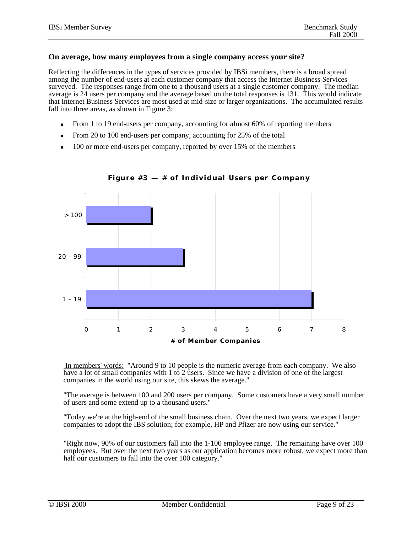### **On average, how many employees from a single company access your site?**

Reflecting the differences in the types of services provided by IBSi members, there is a broad spread among the number of end-users at each customer company that access the Internet Business Services surveyed. The responses range from one to a thousand users at a single customer company. The median average is 24 users per company and the average based on the total responses is 131. This would indicate that Internet Business Services are most used at mid-size or larger organizations. The accumulated results fall into three areas, as shown in Figure 3:

- From 1 to 19 end-users per company, accounting for almost 60% of reporting members
- From 20 to 100 end-users per company, accounting for 25% of the total
- 100 or more end-users per company, reported by over 15% of the members



**Figure #3 — # of Individual Users per Company**

 In members' words: "Around 9 to 10 people is the numeric average from each company. We also have a lot of small companies with 1 to 2 users. Since we have a division of one of the largest companies in the world using our site, this skews the average."

"The average is between 100 and 200 users per company. Some customers have a very small number of users and some extend up to a thousand users."

"Today we're at the high-end of the small business chain. Over the next two years, we expect larger companies to adopt the IBS solution; for example, HP and Pfizer are now using our service."

"Right now, 90% of our customers fall into the 1-100 employee range. The remaining have over 100 employees. But over the next two years as our application becomes more robust, we expect more than half our customers to fall into the over 100 category."